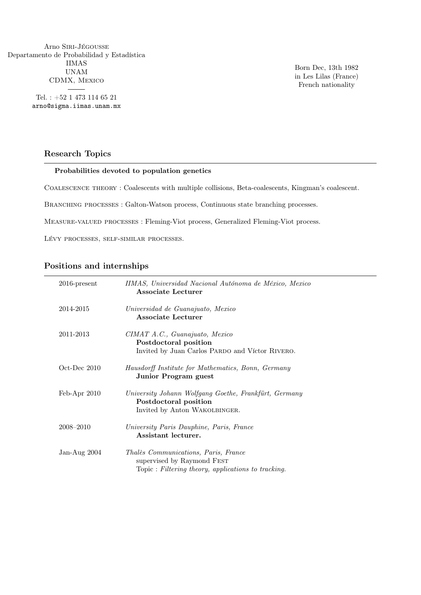Arno Siri-Jégousse Departamento de Probabilidad y Estadística IIMAS UNAM CDMX, Mexico

> Tel. : +52 1 473 114 65 21 arno@sigma.iimas.unam.mx

Born Dec, 13th 1982 in Les Lilas (France) French nationality

### Research Topics

#### Probabilities devoted to population genetics

Coalescence theory : Coalescents with multiple collisions, Beta-coalescents, Kingman's coalescent.

BRANCHING PROCESSES : Galton-Watson process, Continuous state branching processes.

Measure-valued processes : Fleming-Viot process, Generalized Fleming-Viot process.

Lévy processes, self-similar processes.

#### Positions and internships

| $2016$ -present   | IIMAS, Universidad Nacional Autónoma de México, Mexico<br><b>Associate Lecturer</b>                                      |
|-------------------|--------------------------------------------------------------------------------------------------------------------------|
| 2014-2015         | Universidad de Guanajuato, Mexico<br><b>Associate Lecturer</b>                                                           |
| 2011-2013         | CIMAT A.C., Guanajuato, Mexico<br>Postdoctoral position<br>Invited by Juan Carlos PARDO and Víctor RIVERO.               |
| $Oct$ -Dec $2010$ | Hausdorff Institute for Mathematics, Bonn, Germany<br>Junior Program guest                                               |
| $Feb-Apr 2010$    | University Johann Wolfgang Goethe, Frankfürt, Germany<br>Postdoctoral position<br>Invited by Anton WAKOLBINGER.          |
| 2008–2010         | University Paris Dauphine, Paris, France<br>Assistant lecturer.                                                          |
| Jan-Aug $2004$    | Thalès Communications, Paris, France<br>supervised by Raymond FEST<br>Topic: Filtering theory, applications to tracking. |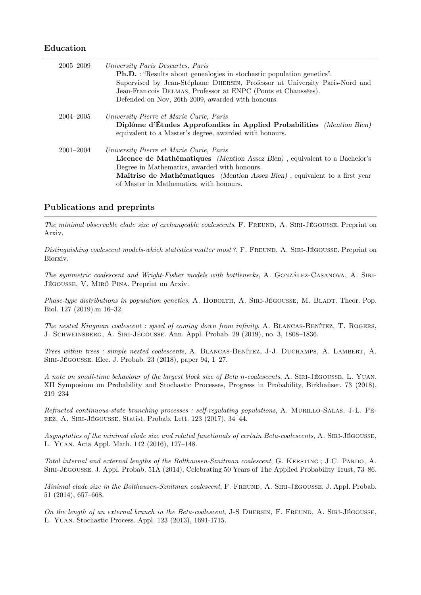#### Education

| $2005 - 2009$ | University Paris Descartes, Paris<br><b>Ph.D.</b> : "Results about genealogies in stochastic population genetics".<br>Supervised by Jean-Stéphane DHERSIN, Professor at University Paris-Nord and<br>Jean-Francois DELMAS, Professor at ENPC (Ponts et Chaussées).<br>Defended on Nov, 26th 2009, awarded with honours. |
|---------------|-------------------------------------------------------------------------------------------------------------------------------------------------------------------------------------------------------------------------------------------------------------------------------------------------------------------------|
| $2004 - 2005$ | University Pierre et Marie Curie, Paris<br>Diplôme d'Études Approfondies in Applied Probabilities (Mention Bien)<br>equivalent to a Master's degree, awarded with honours.                                                                                                                                              |
| $2001 - 2004$ | University Pierre et Marie Curie, Paris<br><b>Licence de Mathématiques</b> <i>(Mention Assez Bien)</i> , equivalent to a Bachelor's<br>Degree in Mathematics, awarded with honours.<br>Maîtrise de Mathématiques (Mention Assez Bien), equivalent to a first year<br>of Master in Mathematics, with honours.            |

### Publications and preprints

The minimal observable clade size of exchangeable coalescents, F. FREUND, A. SIRI-JÉGOUSSE. Preprint on Arxiv.

Distinguishing coalescent models-which statistics matter most?, F. FREUND, A. SIRI-JÉGOUSSE. Preprint on Biorxiv.

The symmetric coalescent and Wright-Fisher models with bottlenecks, A. GONZÁLEZ-CASANOVA, A. SIRI-Jégousse, V. Miró Pina. Preprint on Arxiv.

Phase-type distributions in population genetics, A. HOBOLTH, A. SIRI-JÉGOUSSE, M. BLADT. Theor. Pop. Biol. 127 (2019).m 16–32.

The nested Kingman coalescent : speed of coming down from infinity, A. BLANCAS-BENÍTEZ, T. ROGERS, J. Schweinsberg, A. Siri-Jégousse. Ann. Appl. Probab. 29 (2019), no. 3, 1808–1836.

Trees within trees : simple nested coalescents, A. Blancas-Benítez, J-J. Duchamps, A. Lambert, A. Siri-Jégousse. Elec. J. Probab. 23 (2018), paper 94, 1–27.

A note on small-time behaviour of the largest block size of Beta n-coalescents, A. SIRI-JÉGOUSSE, L. YUAN. XII Symposium on Probability and Stochastic Processes, Progress in Probability, Birkhaüser. 73 (2018), 219–234

Refracted continuous-state branching processes : self-regulating populations, A. Murillo-Salas, J-L. Pérez, A. Siri-Jégousse. Statist. Probab. Lett. 123 (2017), 34–44.

Asymptotics of the minimal clade size and related functionals of certain Beta-coalescents, A. SIRI-JÉGOUSSE, L. Yuan. Acta Appl. Math. 142 (2016), 127–148.

Total internal and external lengths of the Bolthausen-Sznitman coalescent, G. KERSTING; J.C. PARDO, A. Siri-Jégousse. J. Appl. Probab. 51A (2014), Celebrating 50 Years of The Applied Probability Trust, 73–86.

Minimal clade size in the Bolthausen-Sznitman coalescent, F. FREUND, A. SIRI-JÉGOUSSE. J. Appl. Probab. 51 (2014), 657–668.

On the length of an external branch in the Beta-coalescent, J-S DHERSIN, F. FREUND, A. SIRI-JÉGOUSSE, L. Yuan. Stochastic Process. Appl. 123 (2013), 1691-1715.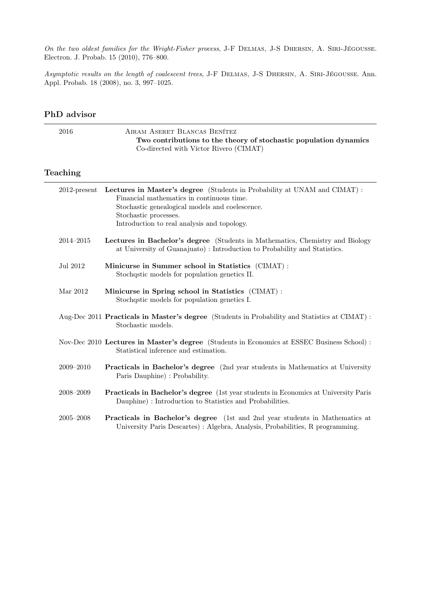On the two oldest families for the Wright-Fisher process, J-F DELMAS, J-S DHERSIN, A. SIRI-JÉGOUSSE. Electron. J. Probab. 15 (2010), 776–800.

Asymptotic results on the length of coalescent trees, J-F DELMAS, J-S DHERSIN, A. SIRI-JÉGOUSSE. Ann. Appl. Probab. 18 (2008), no. 3, 997–1025.

| 2016            | AIRAM ASERET BLANCAS BENÍTEZ<br>Two contributions to the theory of stochastic population dynamics<br>Co-directed with Víctor Rivero (CIMAT)                                                                                                      |
|-----------------|--------------------------------------------------------------------------------------------------------------------------------------------------------------------------------------------------------------------------------------------------|
| Teaching        |                                                                                                                                                                                                                                                  |
| $2012$ -present | Lectures in Master's degree (Students in Probability at UNAM and CIMAT):<br>Financial mathematics in continuous time.<br>Stochastic genealogical models and coelescence.<br>Stochastic processes.<br>Introduction to real analysis and topology. |
| $2014 - 2015$   | Lectures in Bachelor's degree (Students in Mathematics, Chemistry and Biology<br>at University of Guanajuato): Introduction to Probability and Statistics.                                                                                       |
| Jul 2012        | Minicurse in Summer school in Statistics (CIMAT):<br>Stochastic models for population genetics II.                                                                                                                                               |
| Mar 2012        | Minicurse in Spring school in Statistics (CIMAT):<br>Stochastic models for population genetics I.                                                                                                                                                |
|                 | Aug-Dec 2011 Practicals in Master's degree (Students in Probability and Statistics at CIMAT):<br>Stochastic models.                                                                                                                              |
|                 | Nov-Dec 2010 Lectures in Master's degree (Students in Economics at ESSEC Business School) :<br>Statistical inference and estimation.                                                                                                             |
| 2009-2010       | <b>Practicals in Bachelor's degree</b> (2nd year students in Mathematics at University<br>Paris Dauphine) : Probability.                                                                                                                         |
| 2008-2009       | <b>Practicals in Bachelor's degree</b> (1st year students in Economics at University Paris<br>Dauphine) : Introduction to Statistics and Probabilities.                                                                                          |
| $2005 - 2008$   | <b>Practicals in Bachelor's degree</b> (1st and 2nd year students in Mathematics at<br>University Paris Descartes) : Algebra, Analysis, Probabilities, R programming.                                                                            |